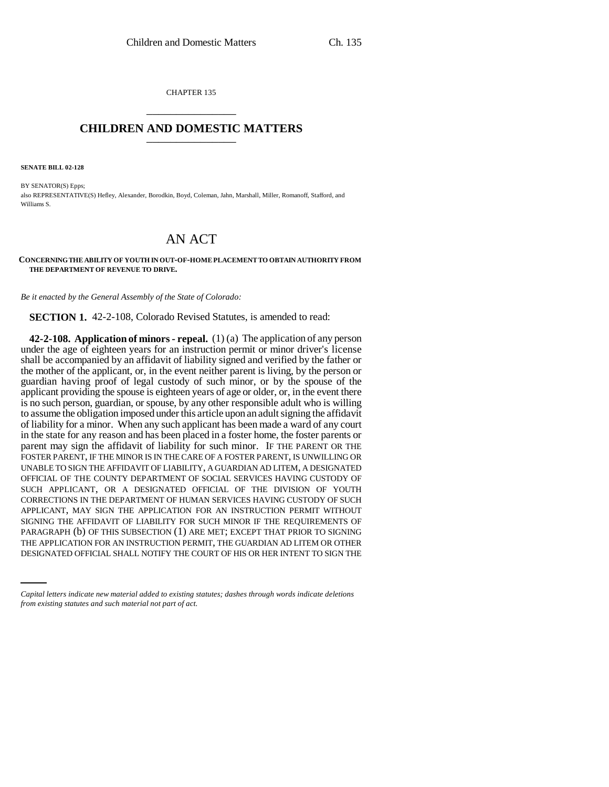CHAPTER 135 \_\_\_\_\_\_\_\_\_\_\_\_\_\_\_

## **CHILDREN AND DOMESTIC MATTERS** \_\_\_\_\_\_\_\_\_\_\_\_\_\_\_

**SENATE BILL 02-128**

BY SENATOR(S) Epps; also REPRESENTATIVE(S) Hefley, Alexander, Borodkin, Boyd, Coleman, Jahn, Marshall, Miller, Romanoff, Stafford, and Williams S.

## AN ACT

**CONCERNING THE ABILITY OF YOUTH IN OUT-OF-HOME PLACEMENT TO OBTAIN AUTHORITY FROM THE DEPARTMENT OF REVENUE TO DRIVE.**

*Be it enacted by the General Assembly of the State of Colorado:*

**SECTION 1.** 42-2-108, Colorado Revised Statutes, is amended to read:

PARAGRAPH (b) OF THIS SUBSECTION (1) ARE MET; EXCEPT THAT PRIOR TO SIGNING **42-2-108. Application of minors - repeal.** (1) (a) The application of any person under the age of eighteen years for an instruction permit or minor driver's license shall be accompanied by an affidavit of liability signed and verified by the father or the mother of the applicant, or, in the event neither parent is living, by the person or guardian having proof of legal custody of such minor, or by the spouse of the applicant providing the spouse is eighteen years of age or older, or, in the event there is no such person, guardian, or spouse, by any other responsible adult who is willing to assume the obligation imposed under this article upon an adult signing the affidavit of liability for a minor. When any such applicant has been made a ward of any court in the state for any reason and has been placed in a foster home, the foster parents or parent may sign the affidavit of liability for such minor. IF THE PARENT OR THE FOSTER PARENT, IF THE MINOR IS IN THE CARE OF A FOSTER PARENT, IS UNWILLING OR UNABLE TO SIGN THE AFFIDAVIT OF LIABILITY, A GUARDIAN AD LITEM, A DESIGNATED OFFICIAL OF THE COUNTY DEPARTMENT OF SOCIAL SERVICES HAVING CUSTODY OF SUCH APPLICANT, OR A DESIGNATED OFFICIAL OF THE DIVISION OF YOUTH CORRECTIONS IN THE DEPARTMENT OF HUMAN SERVICES HAVING CUSTODY OF SUCH APPLICANT, MAY SIGN THE APPLICATION FOR AN INSTRUCTION PERMIT WITHOUT SIGNING THE AFFIDAVIT OF LIABILITY FOR SUCH MINOR IF THE REQUIREMENTS OF THE APPLICATION FOR AN INSTRUCTION PERMIT, THE GUARDIAN AD LITEM OR OTHER DESIGNATED OFFICIAL SHALL NOTIFY THE COURT OF HIS OR HER INTENT TO SIGN THE

*Capital letters indicate new material added to existing statutes; dashes through words indicate deletions from existing statutes and such material not part of act.*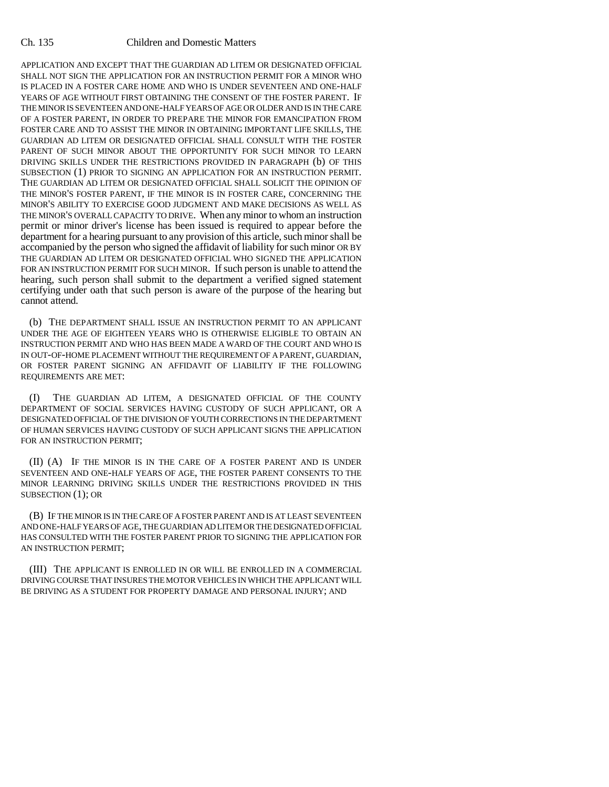## Ch. 135 Children and Domestic Matters

APPLICATION AND EXCEPT THAT THE GUARDIAN AD LITEM OR DESIGNATED OFFICIAL SHALL NOT SIGN THE APPLICATION FOR AN INSTRUCTION PERMIT FOR A MINOR WHO IS PLACED IN A FOSTER CARE HOME AND WHO IS UNDER SEVENTEEN AND ONE-HALF YEARS OF AGE WITHOUT FIRST OBTAINING THE CONSENT OF THE FOSTER PARENT. IF THE MINOR IS SEVENTEEN AND ONE-HALF YEARS OF AGE OR OLDER AND IS IN THE CARE OF A FOSTER PARENT, IN ORDER TO PREPARE THE MINOR FOR EMANCIPATION FROM FOSTER CARE AND TO ASSIST THE MINOR IN OBTAINING IMPORTANT LIFE SKILLS, THE GUARDIAN AD LITEM OR DESIGNATED OFFICIAL SHALL CONSULT WITH THE FOSTER PARENT OF SUCH MINOR ABOUT THE OPPORTUNITY FOR SUCH MINOR TO LEARN DRIVING SKILLS UNDER THE RESTRICTIONS PROVIDED IN PARAGRAPH (b) OF THIS SUBSECTION (1) PRIOR TO SIGNING AN APPLICATION FOR AN INSTRUCTION PERMIT. THE GUARDIAN AD LITEM OR DESIGNATED OFFICIAL SHALL SOLICIT THE OPINION OF THE MINOR'S FOSTER PARENT, IF THE MINOR IS IN FOSTER CARE, CONCERNING THE MINOR'S ABILITY TO EXERCISE GOOD JUDGMENT AND MAKE DECISIONS AS WELL AS THE MINOR'S OVERALL CAPACITY TO DRIVE. When any minor to whom an instruction permit or minor driver's license has been issued is required to appear before the department for a hearing pursuant to any provision of this article, such minor shall be accompanied by the person who signed the affidavit of liability for such minor OR BY THE GUARDIAN AD LITEM OR DESIGNATED OFFICIAL WHO SIGNED THE APPLICATION FOR AN INSTRUCTION PERMIT FOR SUCH MINOR. If such person is unable to attend the hearing, such person shall submit to the department a verified signed statement certifying under oath that such person is aware of the purpose of the hearing but cannot attend.

(b) THE DEPARTMENT SHALL ISSUE AN INSTRUCTION PERMIT TO AN APPLICANT UNDER THE AGE OF EIGHTEEN YEARS WHO IS OTHERWISE ELIGIBLE TO OBTAIN AN INSTRUCTION PERMIT AND WHO HAS BEEN MADE A WARD OF THE COURT AND WHO IS IN OUT-OF-HOME PLACEMENT WITHOUT THE REQUIREMENT OF A PARENT, GUARDIAN, OR FOSTER PARENT SIGNING AN AFFIDAVIT OF LIABILITY IF THE FOLLOWING REQUIREMENTS ARE MET:

(I) THE GUARDIAN AD LITEM, A DESIGNATED OFFICIAL OF THE COUNTY DEPARTMENT OF SOCIAL SERVICES HAVING CUSTODY OF SUCH APPLICANT, OR A DESIGNATED OFFICIAL OF THE DIVISION OF YOUTH CORRECTIONS IN THE DEPARTMENT OF HUMAN SERVICES HAVING CUSTODY OF SUCH APPLICANT SIGNS THE APPLICATION FOR AN INSTRUCTION PERMIT;

(II) (A) IF THE MINOR IS IN THE CARE OF A FOSTER PARENT AND IS UNDER SEVENTEEN AND ONE-HALF YEARS OF AGE, THE FOSTER PARENT CONSENTS TO THE MINOR LEARNING DRIVING SKILLS UNDER THE RESTRICTIONS PROVIDED IN THIS SUBSECTION (1); OR

(B) IF THE MINOR IS IN THE CARE OF A FOSTER PARENT AND IS AT LEAST SEVENTEEN AND ONE-HALF YEARS OF AGE, THE GUARDIAN AD LITEM OR THE DESIGNATED OFFICIAL HAS CONSULTED WITH THE FOSTER PARENT PRIOR TO SIGNING THE APPLICATION FOR AN INSTRUCTION PERMIT;

(III) THE APPLICANT IS ENROLLED IN OR WILL BE ENROLLED IN A COMMERCIAL DRIVING COURSE THAT INSURES THE MOTOR VEHICLES IN WHICH THE APPLICANT WILL BE DRIVING AS A STUDENT FOR PROPERTY DAMAGE AND PERSONAL INJURY; AND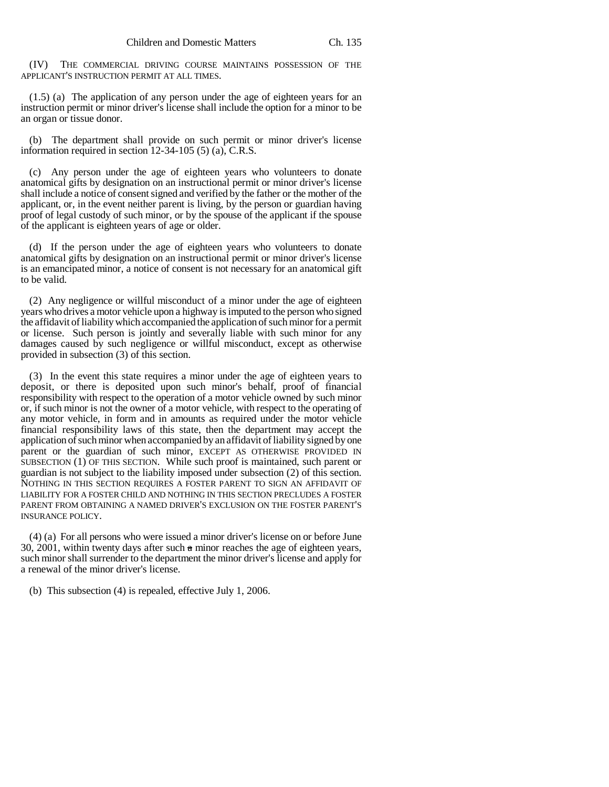(IV) THE COMMERCIAL DRIVING COURSE MAINTAINS POSSESSION OF THE APPLICANT'S INSTRUCTION PERMIT AT ALL TIMES.

(1.5) (a) The application of any person under the age of eighteen years for an instruction permit or minor driver's license shall include the option for a minor to be an organ or tissue donor.

(b) The department shall provide on such permit or minor driver's license information required in section 12-34-105 (5) (a), C.R.S.

(c) Any person under the age of eighteen years who volunteers to donate anatomical gifts by designation on an instructional permit or minor driver's license shall include a notice of consent signed and verified by the father or the mother of the applicant, or, in the event neither parent is living, by the person or guardian having proof of legal custody of such minor, or by the spouse of the applicant if the spouse of the applicant is eighteen years of age or older.

(d) If the person under the age of eighteen years who volunteers to donate anatomical gifts by designation on an instructional permit or minor driver's license is an emancipated minor, a notice of consent is not necessary for an anatomical gift to be valid.

(2) Any negligence or willful misconduct of a minor under the age of eighteen years who drives a motor vehicle upon a highway is imputed to the person who signed the affidavit of liability which accompanied the application of such minor for a permit or license. Such person is jointly and severally liable with such minor for any damages caused by such negligence or willful misconduct, except as otherwise provided in subsection (3) of this section.

(3) In the event this state requires a minor under the age of eighteen years to deposit, or there is deposited upon such minor's behalf, proof of financial responsibility with respect to the operation of a motor vehicle owned by such minor or, if such minor is not the owner of a motor vehicle, with respect to the operating of any motor vehicle, in form and in amounts as required under the motor vehicle financial responsibility laws of this state, then the department may accept the application of such minor when accompanied by an affidavit of liability signed by one parent or the guardian of such minor, EXCEPT AS OTHERWISE PROVIDED IN SUBSECTION (1) OF THIS SECTION. While such proof is maintained, such parent or guardian is not subject to the liability imposed under subsection (2) of this section. NOTHING IN THIS SECTION REQUIRES A FOSTER PARENT TO SIGN AN AFFIDAVIT OF LIABILITY FOR A FOSTER CHILD AND NOTHING IN THIS SECTION PRECLUDES A FOSTER PARENT FROM OBTAINING A NAMED DRIVER'S EXCLUSION ON THE FOSTER PARENT'S INSURANCE POLICY.

(4) (a) For all persons who were issued a minor driver's license on or before June 30, 2001, within twenty days after such  $\alpha$  minor reaches the age of eighteen years, such minor shall surrender to the department the minor driver's license and apply for a renewal of the minor driver's license.

(b) This subsection (4) is repealed, effective July 1, 2006.